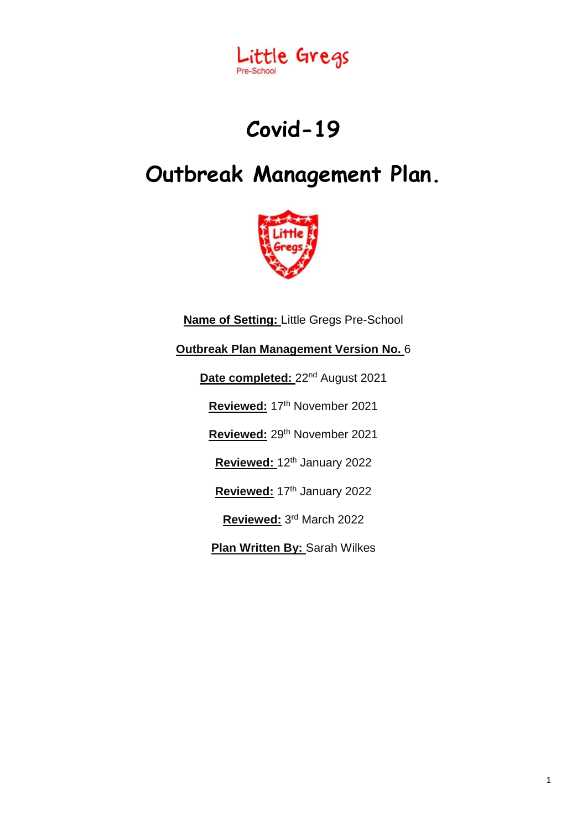

# **Covid-19**

# **Outbreak Management Plan.**



**Name of Setting:** Little Gregs Pre-School **Outbreak Plan Management Version No.** 6 Date completed: 22<sup>nd</sup> August 2021 Reviewed: 17<sup>th</sup> November 2021 Reviewed: 29<sup>th</sup> November 2021 **Reviewed:** 12th January 2022 Reviewed: 17<sup>th</sup> January 2022 **Reviewed:** 3 rd March 2022 **Plan Written By:** Sarah Wilkes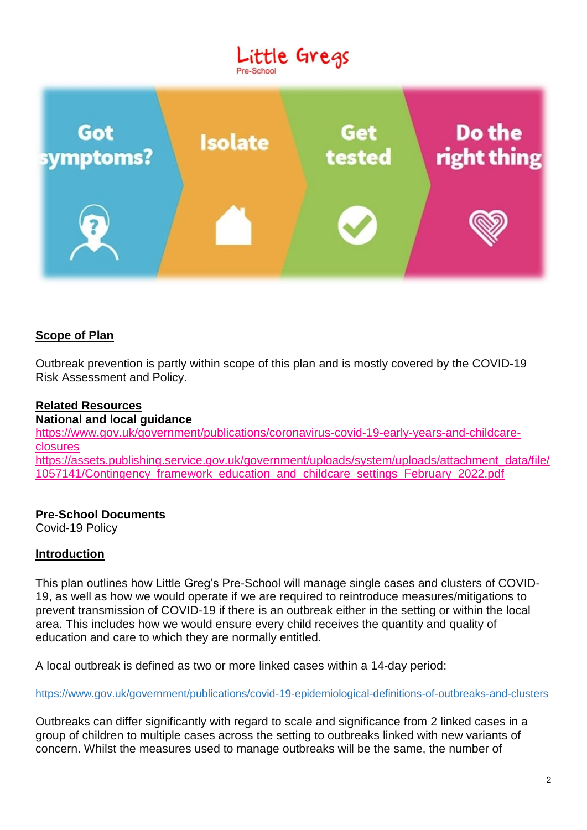# Little Gregs Pre-School



# **Scope of Plan**

Outbreak prevention is partly within scope of this plan and is mostly covered by the COVID-19 Risk Assessment and Policy.

### **Related Resources**

**National and local guidance** [https://www.gov.uk/government/publications/coronavirus-covid-19-early-years-and-childcare](https://www.gov.uk/government/publications/coronavirus-covid-19-early-years-and-childcare-closures)[closures](https://www.gov.uk/government/publications/coronavirus-covid-19-early-years-and-childcare-closures) https://assets.publishing.service.gov.uk/government/uploads/system/uploads/attachment\_data/file/ 1057141/Contingency\_framework\_education\_and\_childcare\_settings\_February\_2022.pdf

# **Pre-School Documents**

Covid-19 Policy

#### **Introduction**

This plan outlines how Little Greg's Pre-School will manage single cases and clusters of COVID-19, as well as how we would operate if we are required to reintroduce measures/mitigations to prevent transmission of COVID-19 if there is an outbreak either in the setting or within the local area. This includes how we would ensure every child receives the quantity and quality of education and care to which they are normally entitled.

A local outbreak is defined as two or more linked cases within a 14-day period:

<https://www.gov.uk/government/publications/covid-19-epidemiological-definitions-of-outbreaks-and-clusters>

Outbreaks can differ significantly with regard to scale and significance from 2 linked cases in a group of children to multiple cases across the setting to outbreaks linked with new variants of concern. Whilst the measures used to manage outbreaks will be the same, the number of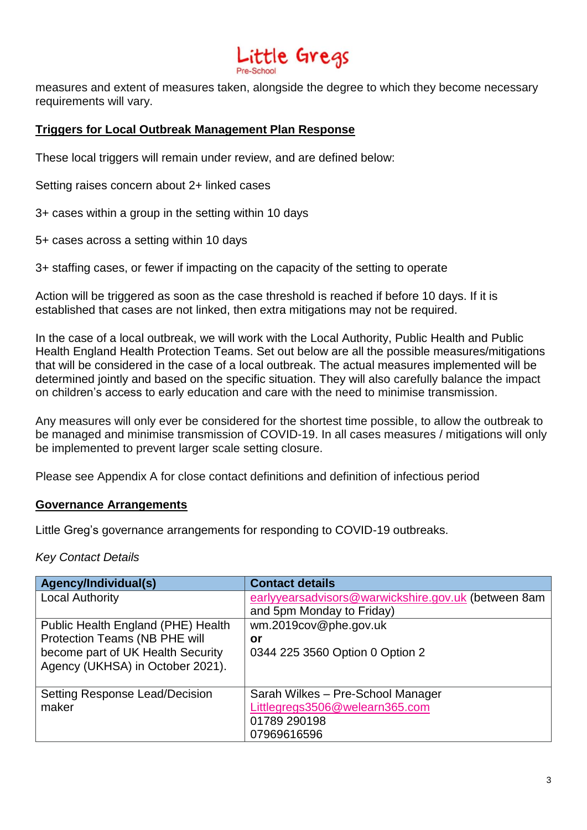# ittle Gregs

measures and extent of measures taken, alongside the degree to which they become necessary requirements will vary.

### **Triggers for Local Outbreak Management Plan Response**

These local triggers will remain under review, and are defined below:

Setting raises concern about 2+ linked cases

3+ cases within a group in the setting within 10 days

5+ cases across a setting within 10 days

3+ staffing cases, or fewer if impacting on the capacity of the setting to operate

Action will be triggered as soon as the case threshold is reached if before 10 days. If it is established that cases are not linked, then extra mitigations may not be required.

In the case of a local outbreak, we will work with the Local Authority, Public Health and Public Health England Health Protection Teams. Set out below are all the possible measures/mitigations that will be considered in the case of a local outbreak. The actual measures implemented will be determined jointly and based on the specific situation. They will also carefully balance the impact on children's access to early education and care with the need to minimise transmission.

Any measures will only ever be considered for the shortest time possible, to allow the outbreak to be managed and minimise transmission of COVID-19. In all cases measures / mitigations will only be implemented to prevent larger scale setting closure.

Please see Appendix A for close contact definitions and definition of infectious period

#### **Governance Arrangements**

Little Greg's governance arrangements for responding to COVID-19 outbreaks.

#### *Key Contact Details*

| Agency/Individual(s)                  | <b>Contact details</b>                              |  |  |
|---------------------------------------|-----------------------------------------------------|--|--|
| <b>Local Authority</b>                | earlyyearsadvisors@warwickshire.gov.uk (between 8am |  |  |
|                                       | and 5pm Monday to Friday)                           |  |  |
| Public Health England (PHE) Health    | wm.2019cov@phe.gov.uk                               |  |  |
| Protection Teams (NB PHE will         | or                                                  |  |  |
| become part of UK Health Security     | 0344 225 3560 Option 0 Option 2                     |  |  |
| Agency (UKHSA) in October 2021).      |                                                     |  |  |
|                                       |                                                     |  |  |
| <b>Setting Response Lead/Decision</b> | Sarah Wilkes - Pre-School Manager                   |  |  |
| maker                                 | Littlegregs3506@welearn365.com                      |  |  |
|                                       | 01789 290198                                        |  |  |
|                                       | 07969616596                                         |  |  |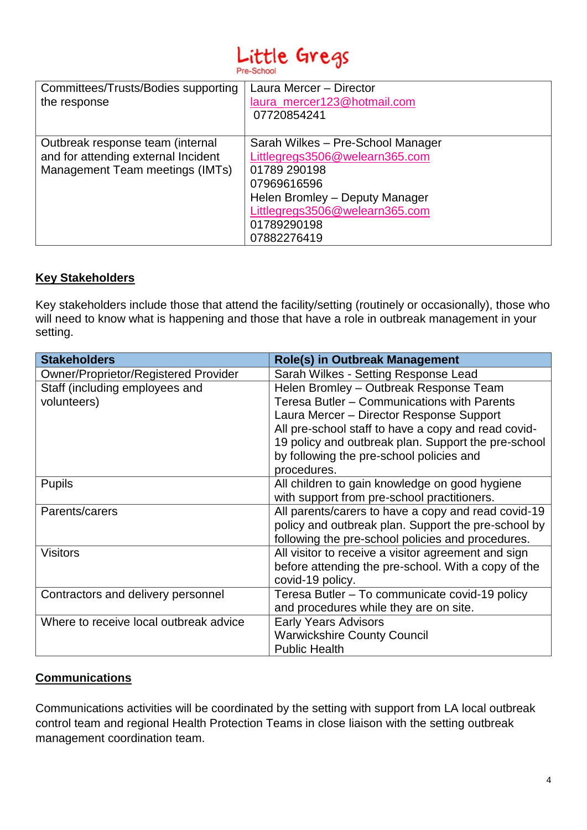# Little Gregs Pre-School

| Committees/Trusts/Bodies supporting<br>the response                                                        | Laura Mercer - Director<br>laura mercer123@hotmail.com<br>07720854241                                                                                                                                |
|------------------------------------------------------------------------------------------------------------|------------------------------------------------------------------------------------------------------------------------------------------------------------------------------------------------------|
| Outbreak response team (internal<br>and for attending external Incident<br>Management Team meetings (IMTs) | Sarah Wilkes - Pre-School Manager<br>Littlegregs3506@welearn365.com<br>01789 290198<br>07969616596<br>Helen Bromley - Deputy Manager<br>Littlegregs3506@welearn365.com<br>01789290198<br>07882276419 |

# **Key Stakeholders**

Key stakeholders include those that attend the facility/setting (routinely or occasionally), those who will need to know what is happening and those that have a role in outbreak management in your setting.

| <b>Stakeholders</b>                         | <b>Role(s) in Outbreak Management</b>               |
|---------------------------------------------|-----------------------------------------------------|
| <b>Owner/Proprietor/Registered Provider</b> | Sarah Wilkes - Setting Response Lead                |
| Staff (including employees and              | Helen Bromley - Outbreak Response Team              |
| volunteers)                                 | Teresa Butler - Communications with Parents         |
|                                             | Laura Mercer - Director Response Support            |
|                                             | All pre-school staff to have a copy and read covid- |
|                                             | 19 policy and outbreak plan. Support the pre-school |
|                                             | by following the pre-school policies and            |
|                                             | procedures.                                         |
| <b>Pupils</b>                               | All children to gain knowledge on good hygiene      |
|                                             | with support from pre-school practitioners.         |
| Parents/carers                              | All parents/carers to have a copy and read covid-19 |
|                                             | policy and outbreak plan. Support the pre-school by |
|                                             | following the pre-school policies and procedures.   |
| <b>Visitors</b>                             | All visitor to receive a visitor agreement and sign |
|                                             | before attending the pre-school. With a copy of the |
|                                             | covid-19 policy.                                    |
| Contractors and delivery personnel          | Teresa Butler - To communicate covid-19 policy      |
|                                             | and procedures while they are on site.              |
| Where to receive local outbreak advice      | <b>Early Years Advisors</b>                         |
|                                             | <b>Warwickshire County Council</b>                  |
|                                             | <b>Public Health</b>                                |

# **Communications**

Communications activities will be coordinated by the setting with support from LA local outbreak control team and regional Health Protection Teams in close liaison with the setting outbreak management coordination team.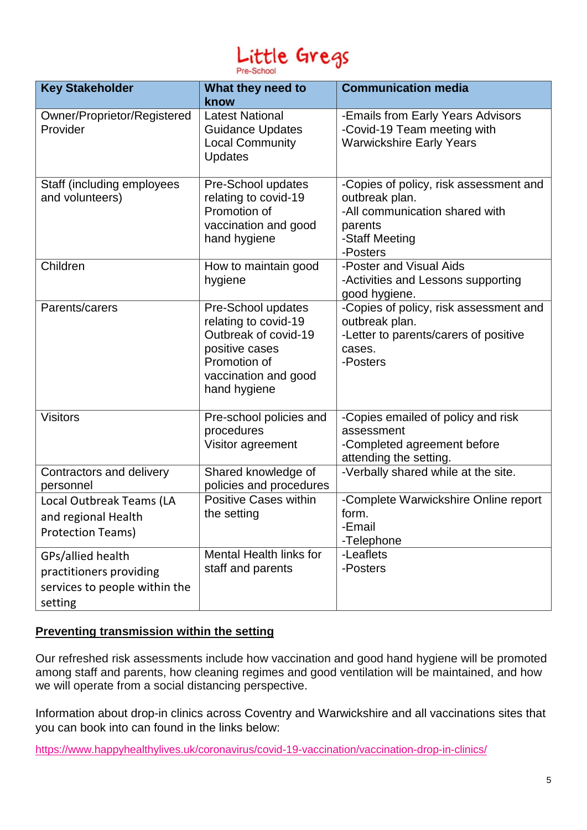# Little Gregs Pre-School

| <b>Key Stakeholder</b>                                                                   | What they need to                                                                                                                            | <b>Communication media</b>                                                                                                          |
|------------------------------------------------------------------------------------------|----------------------------------------------------------------------------------------------------------------------------------------------|-------------------------------------------------------------------------------------------------------------------------------------|
| Owner/Proprietor/Registered<br>Provider                                                  | know<br><b>Latest National</b><br><b>Guidance Updates</b><br><b>Local Community</b><br><b>Updates</b>                                        | -Emails from Early Years Advisors<br>-Covid-19 Team meeting with<br><b>Warwickshire Early Years</b>                                 |
| Staff (including employees<br>and volunteers)                                            | Pre-School updates<br>relating to covid-19<br>Promotion of<br>vaccination and good<br>hand hygiene                                           | -Copies of policy, risk assessment and<br>outbreak plan.<br>-All communication shared with<br>parents<br>-Staff Meeting<br>-Posters |
| Children                                                                                 | How to maintain good<br>hygiene                                                                                                              | -Poster and Visual Aids<br>-Activities and Lessons supporting<br>good hygiene.                                                      |
| Parents/carers                                                                           | Pre-School updates<br>relating to covid-19<br>Outbreak of covid-19<br>positive cases<br>Promotion of<br>vaccination and good<br>hand hygiene | -Copies of policy, risk assessment and<br>outbreak plan.<br>-Letter to parents/carers of positive<br>cases.<br>-Posters             |
| <b>Visitors</b>                                                                          | Pre-school policies and<br>procedures<br>Visitor agreement                                                                                   | -Copies emailed of policy and risk<br>assessment<br>-Completed agreement before<br>attending the setting.                           |
| Contractors and delivery<br>personnel                                                    | Shared knowledge of<br>policies and procedures                                                                                               | -Verbally shared while at the site.                                                                                                 |
| Local Outbreak Teams (LA<br>and regional Health<br><b>Protection Teams)</b>              | <b>Positive Cases within</b><br>the setting                                                                                                  | -Complete Warwickshire Online report<br>form.<br>-Email<br>-Telephone                                                               |
| GPs/allied health<br>practitioners providing<br>services to people within the<br>setting | <b>Mental Health links for</b><br>staff and parents                                                                                          | -Leaflets<br>-Posters                                                                                                               |

# **Preventing transmission within the setting**

Our refreshed risk assessments include how vaccination and good hand hygiene will be promoted among staff and parents, how cleaning regimes and good ventilation will be maintained, and how we will operate from a social distancing perspective.

Information about drop-in clinics across Coventry and Warwickshire and all vaccinations sites that you can book into can found in the links below:

<https://www.happyhealthylives.uk/coronavirus/covid-19-vaccination/vaccination-drop-in-clinics/>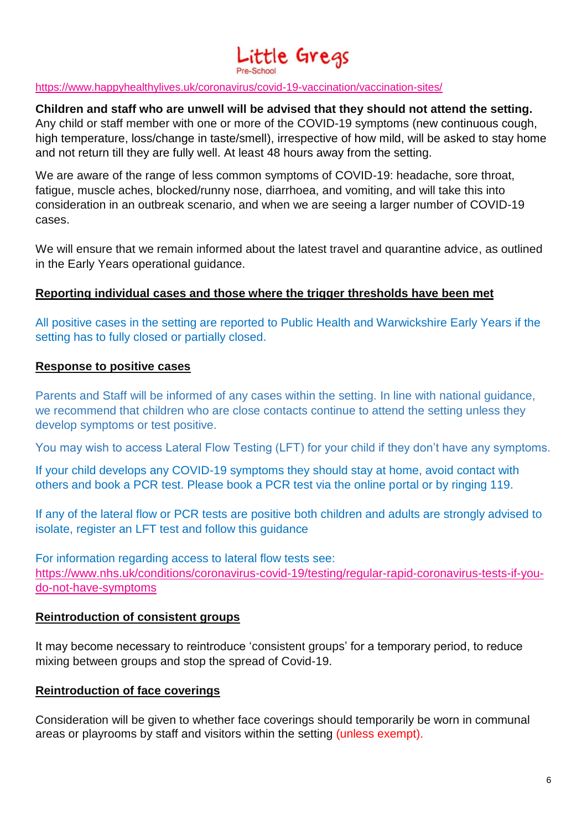# Little Gregs

#### <https://www.happyhealthylives.uk/coronavirus/covid-19-vaccination/vaccination-sites/>

#### **Children and staff who are unwell will be advised that they should not attend the setting.**

Any child or staff member with one or more of the COVID-19 symptoms (new continuous cough, high temperature, loss/change in taste/smell), irrespective of how mild, will be asked to stay home and not return till they are fully well. At least 48 hours away from the setting.

We are aware of the range of less common symptoms of COVID-19: headache, sore throat, fatigue, muscle aches, blocked/runny nose, diarrhoea, and vomiting, and will take this into consideration in an outbreak scenario, and when we are seeing a larger number of COVID-19 cases.

We will ensure that we remain informed about the latest travel and quarantine advice, as outlined in the Early Years operational guidance.

#### **Reporting individual cases and those where the trigger thresholds have been met**

All positive cases in the setting are reported to Public Health and Warwickshire Early Years if the setting has to fully closed or partially closed.

#### **Response to positive cases**

Parents and Staff will be informed of any cases within the setting. In line with national guidance, we recommend that children who are close contacts continue to attend the setting unless they develop symptoms or test positive.

You may wish to access Lateral Flow Testing (LFT) for your child if they don't have any symptoms.

If your child develops any COVID-19 symptoms they should stay at home, avoid contact with others and book a PCR test. Please book a PCR test via the online portal or by ringing 119.

If any of the lateral flow or PCR tests are positive both children and adults are strongly advised to isolate, register an LFT test and follow this guidance

For information regarding access to lateral flow tests see: [https://www.nhs.uk/conditions/coronavirus-covid-19/testing/regular-rapid-coronavirus-tests-if-you](https://www.nhs.uk/conditions/coronavirus-covid-19/testing/regular-rapid-coronavirus-tests-if-you-do-not-have-symptoms)[do-not-have-symptoms](https://www.nhs.uk/conditions/coronavirus-covid-19/testing/regular-rapid-coronavirus-tests-if-you-do-not-have-symptoms)

#### **Reintroduction of consistent groups**

It may become necessary to reintroduce 'consistent groups' for a temporary period, to reduce mixing between groups and stop the spread of Covid-19.

#### **Reintroduction of face coverings**

Consideration will be given to whether face coverings should temporarily be worn in communal areas or playrooms by staff and visitors within the setting (unless exempt).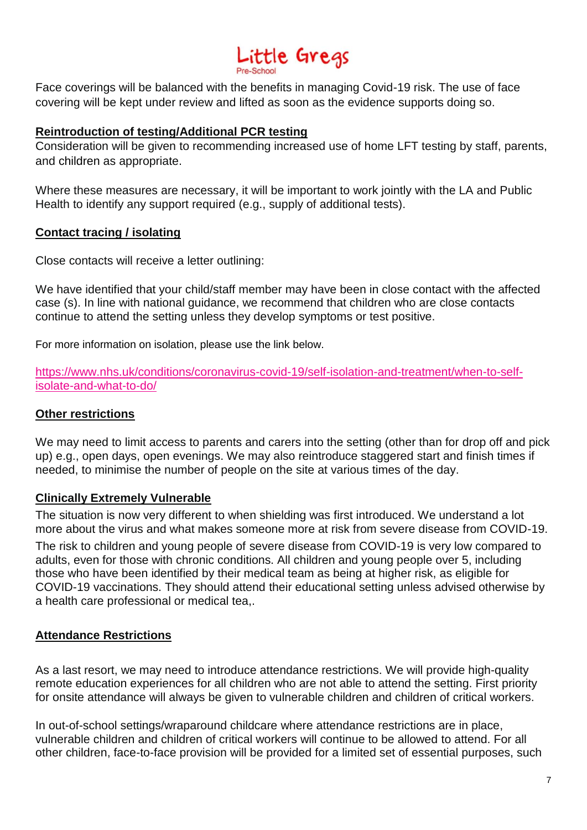# Little Gregs

Face coverings will be balanced with the benefits in managing Covid-19 risk. The use of face covering will be kept under review and lifted as soon as the evidence supports doing so.

### **Reintroduction of testing/Additional PCR testing**

Consideration will be given to recommending increased use of home LFT testing by staff, parents, and children as appropriate.

Where these measures are necessary, it will be important to work jointly with the LA and Public Health to identify any support required (e.g., supply of additional tests).

### **Contact tracing / isolating**

Close contacts will receive a letter outlining:

We have identified that your child/staff member may have been in close contact with the affected case (s). In line with national guidance, we recommend that children who are close contacts continue to attend the setting unless they develop symptoms or test positive.

For more information on isolation, please use the link below.

[https://www.nhs.uk/conditions/coronavirus-covid-19/self-isolation-and-treatment/when-to-self](https://www.nhs.uk/conditions/coronavirus-covid-19/self-isolation-and-treatment/when-to-self-isolate-and-what-to-do/)[isolate-and-what-to-do/](https://www.nhs.uk/conditions/coronavirus-covid-19/self-isolation-and-treatment/when-to-self-isolate-and-what-to-do/)

### **Other restrictions**

We may need to limit access to parents and carers into the setting (other than for drop off and pick up) e.g., open days, open evenings. We may also reintroduce staggered start and finish times if needed, to minimise the number of people on the site at various times of the day.

#### **Clinically Extremely Vulnerable**

The situation is now very different to when shielding was first introduced. We understand a lot more about the virus and what makes someone more at risk from severe disease from COVID-19.

The risk to children and young people of severe disease from COVID-19 is very low compared to adults, even for those with chronic conditions. All children and young people over 5, including those who have been identified by their medical team as being at higher risk, as eligible for COVID-19 vaccinations. They should attend their educational setting unless advised otherwise by a health care professional or medical tea,.

# **Attendance Restrictions**

As a last resort, we may need to introduce attendance restrictions. We will provide high-quality remote education experiences for all children who are not able to attend the setting. First priority for onsite attendance will always be given to vulnerable children and children of critical workers.

In out-of-school settings/wraparound childcare where attendance restrictions are in place, vulnerable children and children of critical workers will continue to be allowed to attend. For all other children, face-to-face provision will be provided for a limited set of essential purposes, such